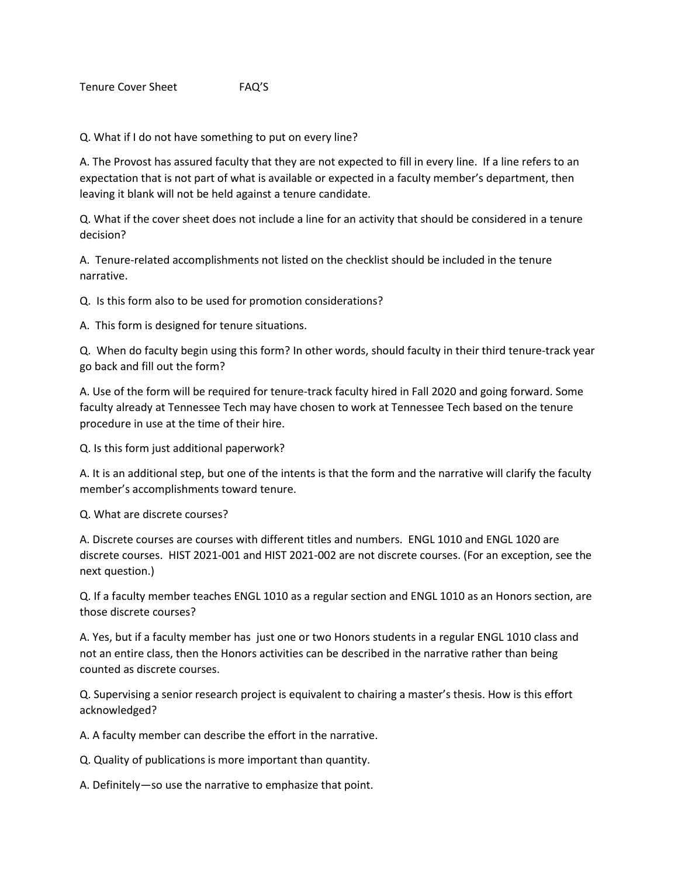Q. What if I do not have something to put on every line?

A. The Provost has assured faculty that they are not expected to fill in every line. If a line refers to an expectation that is not part of what is available or expected in a faculty member's department, then leaving it blank will not be held against a tenure candidate.

Q. What if the cover sheet does not include a line for an activity that should be considered in a tenure decision?

A. Tenure-related accomplishments not listed on the checklist should be included in the tenure narrative.

Q. Is this form also to be used for promotion considerations?

A. This form is designed for tenure situations.

Q. When do faculty begin using this form? In other words, should faculty in their third tenure-track year go back and fill out the form?

A. Use of the form will be required for tenure-track faculty hired in Fall 2020 and going forward. Some faculty already at Tennessee Tech may have chosen to work at Tennessee Tech based on the tenure procedure in use at the time of their hire.

Q. Is this form just additional paperwork?

A. It is an additional step, but one of the intents is that the form and the narrative will clarify the faculty member's accomplishments toward tenure.

Q. What are discrete courses?

A. Discrete courses are courses with different titles and numbers. ENGL 1010 and ENGL 1020 are discrete courses. HIST 2021-001 and HIST 2021-002 are not discrete courses. (For an exception, see the next question.)

Q. If a faculty member teaches ENGL 1010 as a regular section and ENGL 1010 as an Honors section, are those discrete courses?

A. Yes, but if a faculty member has just one or two Honors students in a regular ENGL 1010 class and not an entire class, then the Honors activities can be described in the narrative rather than being counted as discrete courses.

Q. Supervising a senior research project is equivalent to chairing a master's thesis. How is this effort acknowledged?

A. A faculty member can describe the effort in the narrative.

Q. Quality of publications is more important than quantity.

A. Definitely—so use the narrative to emphasize that point.